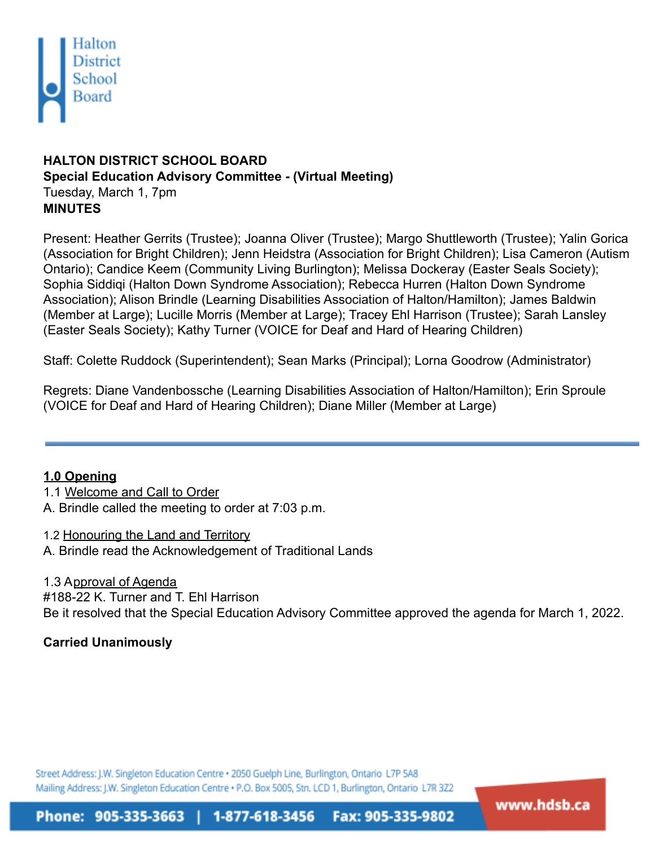

# **HALTON DISTRICT SCHOOL BOARD Special Education Advisory Committee - (Virtual Meeting)** Tuesday, March 1, 7pm **MINUTES**

Present: Heather Gerrits (Trustee); Joanna Oliver (Trustee); Margo Shuttleworth (Trustee); Yalin Gorica (Association for Bright Children); Jenn Heidstra (Association for Bright Children); Lisa Cameron (Autism Ontario); Candice Keem (Community Living Burlington); Melissa Dockeray (Easter Seals Society); Sophia Siddiqi (Halton Down Syndrome Association); Rebecca Hurren (Halton Down Syndrome Association); Alison Brindle (Learning Disabilities Association of Halton/Hamilton); James Baldwin (Member at Large); Lucille Morris (Member at Large); Tracey Ehl Harrison (Trustee); Sarah Lansley (Easter Seals Society); Kathy Turner (VOICE for Deaf and Hard of Hearing Children)

Staff: Colette Ruddock (Superintendent); Sean Marks (Principal); Lorna Goodrow (Administrator)

Regrets: Diane Vandenbossche (Learning Disabilities Association of Halton/Hamilton); Erin Sproule (VOICE for Deaf and Hard of Hearing Children); Diane Miller (Member at Large)

## **1.0 Opening**

1.1 Welcome and Call to Order A. Brindle called the meeting to order at 7:03 p.m.

1.2 Honouring the Land and Territory A. Brindle read the Acknowledgement of Traditional Lands

1.3 Approval of Agenda #188-22 K. Turner and T. Ehl Harrison Be it resolved that the Special Education Advisory Committee approved the agenda for March 1, 2022.

# **Carried Unanimously**

Street Address: J.W. Singleton Education Centre . 2050 Guelph Line, Burlington, Ontario L7P 5A8 Mailing Address: J.W. Singleton Education Centre + P.O. Box 5005, Stn. LCD 1, Burlington, Ontario L7R 3Z2

Phone: 905-335-3663 | 1-877-618-3456 Fax: 905-335-9802 www.hdsb.ca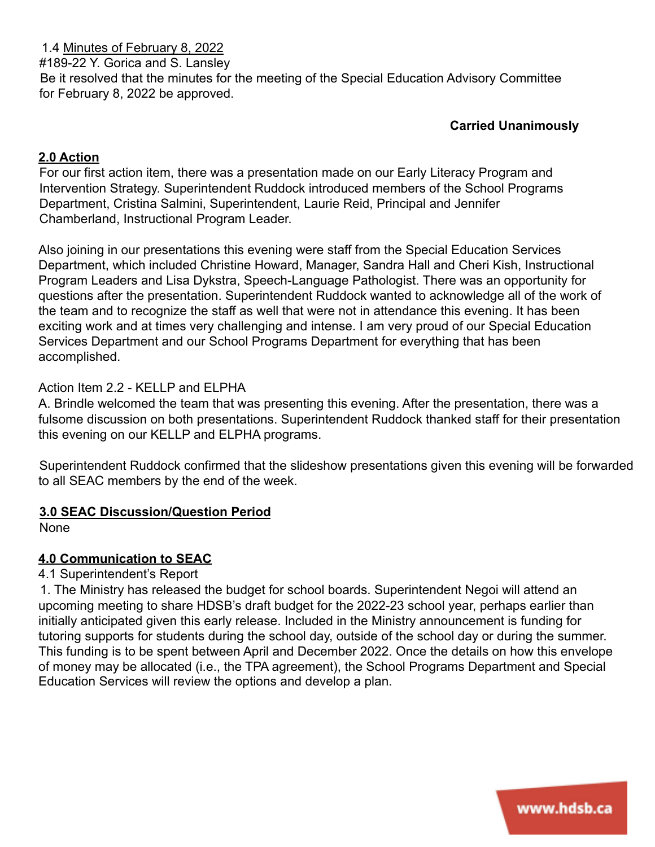1.4 Minutes of February 8, 2022 #189-22 Y. Gorica and S. Lansley Be it resolved that the minutes for the meeting of the Special Education Advisory Committee for February 8, 2022 be approved.

## **Carried Unanimously**

### **2.0 Action**

For our first action item, there was a presentation made on our Early Literacy Program and Intervention Strategy. Superintendent Ruddock introduced members of the School Programs Department, Cristina Salmini, Superintendent, Laurie Reid, Principal and Jennifer Chamberland, Instructional Program Leader.

Also joining in our presentations this evening were staff from the Special Education Services Department, which included Christine Howard, Manager, Sandra Hall and Cheri Kish, Instructional Program Leaders and Lisa Dykstra, Speech-Language Pathologist. There was an opportunity for questions after the presentation. Superintendent Ruddock wanted to acknowledge all of the work of the team and to recognize the staff as well that were not in attendance this evening. It has been exciting work and at times very challenging and intense. I am very proud of our Special Education Services Department and our School Programs Department for everything that has been accomplished.

### Action Item 2.2 - KELLP and ELPHA

A. Brindle welcomed the team that was presenting this evening. After the presentation, there was a fulsome discussion on both presentations. Superintendent Ruddock thanked staff for their presentation this evening on our KELLP and ELPHA programs.

Superintendent Ruddock confirmed that the slideshow presentations given this evening will be forwarded to all SEAC members by the end of the week.

#### **3.0 SEAC Discussion/Question Period**

None

## **4.0 Communication to SEAC**

#### 4.1 Superintendent's Report

1. The Ministry has released the budget for school boards. Superintendent Negoi will attend an upcoming meeting to share HDSB's draft budget for the 2022-23 school year, perhaps earlier than initially anticipated given this early release. Included in the Ministry announcement is funding for tutoring supports for students during the school day, outside of the school day or during the summer. This funding is to be spent between April and December 2022. Once the details on how this envelope of money may be allocated (i.e., the TPA agreement), the School Programs Department and Special Education Services will review the options and develop a plan.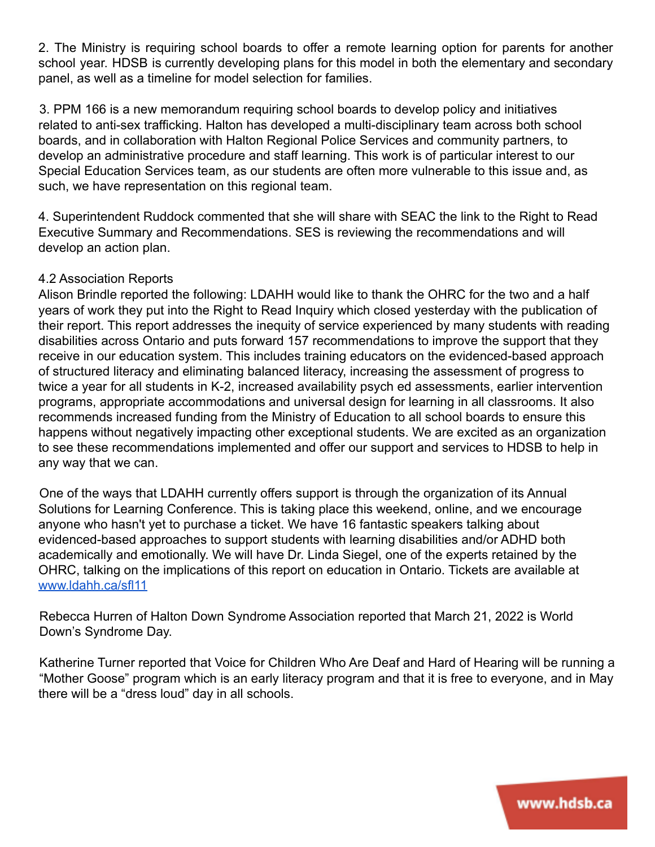2. The Ministry is requiring school boards to offer a remote learning option for parents for another school year. HDSB is currently developing plans for this model in both the elementary and secondary panel, as well as a timeline for model selection for families.

3. PPM 166 is a new memorandum requiring school boards to develop policy and initiatives related to anti-sex trafficking. Halton has developed a multi-disciplinary team across both school boards, and in collaboration with Halton Regional Police Services and community partners, to develop an administrative procedure and staff learning. This work is of particular interest to our Special Education Services team, as our students are often more vulnerable to this issue and, as such, we have representation on this regional team.

4. Superintendent Ruddock commented that she will share with SEAC the link to the Right to Read Executive Summary and Recommendations. SES is reviewing the recommendations and will develop an action plan.

### 4.2 Association Reports

Alison Brindle reported the following: LDAHH would like to thank the OHRC for the two and a half years of work they put into the Right to Read Inquiry which closed yesterday with the publication of their report. This report addresses the inequity of service experienced by many students with reading disabilities across Ontario and puts forward 157 recommendations to improve the support that they receive in our education system. This includes training educators on the evidenced-based approach of structured literacy and eliminating balanced literacy, increasing the assessment of progress to twice a year for all students in K-2, increased availability psych ed assessments, earlier intervention programs, appropriate accommodations and universal design for learning in all classrooms. It also recommends increased funding from the Ministry of Education to all school boards to ensure this happens without negatively impacting other exceptional students. We are excited as an organization to see these recommendations implemented and offer our support and services to HDSB to help in any way that we can.

One of the ways that LDAHH currently offers support is through the organization of its Annual Solutions for Learning Conference. This is taking place this weekend, online, and we encourage anyone who hasn't yet to purchase a ticket. We have 16 fantastic speakers talking about evidenced-based approaches to support students with learning disabilities and/or ADHD both academically and emotionally. We will have Dr. Linda Siegel, one of the experts retained by the OHRC, talking on the implications of this report on education in Ontario. Tickets are available at www.ldahh.ca/sfl11

Rebecca Hurren of Halton Down Syndrome Association reported that March 21, 2022 is World Down's Syndrome Day.

Katherine Turner reported that Voice for Children Who Are Deaf and Hard of Hearing will be running a "Mother Goose" program which is an early literacy program and that it is free to everyone, and in May there will be a "dress loud" day in all schools.